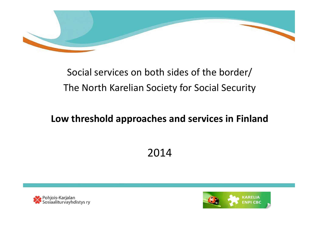

#### Social services on both sides of the border/ The North Karelian Society for Social Security

#### Low threshold approaches and services in Finland

#### 2014



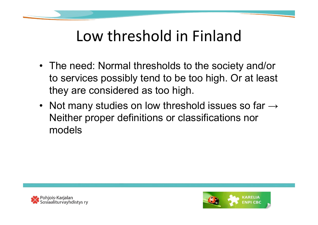

#### Low threshold in Finland

- The need: Normal thresholds to the society and/or to services possibly tend to be too high. Or at least they are considered as too high.
- Not many studies on low threshold issues so far  $\rightarrow$ Neither proper definitions or classifications nor models



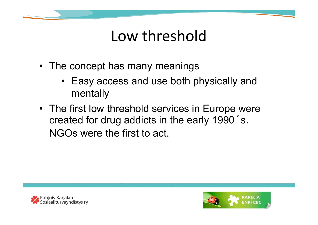

#### Low threshold

- The concept has many meanings
	- Easy access and use both physically and mentally
- The first low threshold services in Europe were created for drug addicts in the early 1990´ s. NGOs were the first to act.



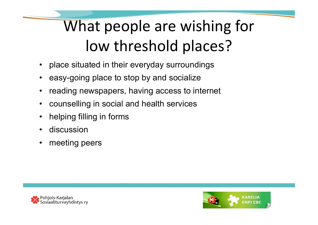# What people are wishing for low threshold places?

- place situated in their everyday surroundings
- easy-going place to stop by and socialize
- reading newspapers, having access to internet
- counselling in social and health services
- helping filling in forms
- discussion
- meeting peers



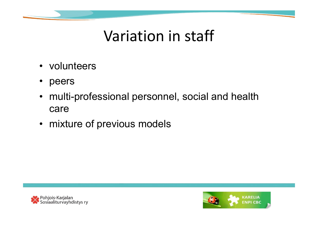

#### Variation in staff

- volunteers
- peers
- multi-professional personnel, social and health care
- mixture of previous models



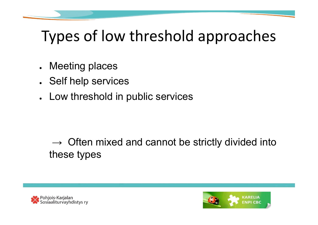## Types of low threshold approaches

- Meeting places
- . Self help services
- Low threshold in public services

#### $\rightarrow$  Often mixed and cannot be strictly divided into these types



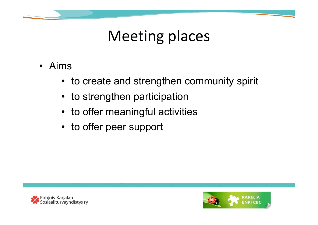

## Meeting places

- Aims
	- to create and strengthen community spirit
	- to strengthen participation
	- to offer meaningful activities
	- to offer peer support



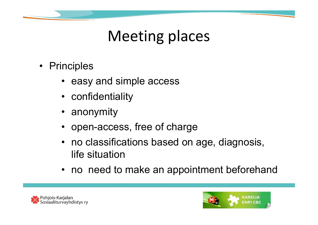

- Principles
	- easy and simple access
	- confidentiality
	- anonymity
	- open-access, free of charge
	- no classifications based on age, diagnosis, life situation
	- no need to make an appointment beforehand



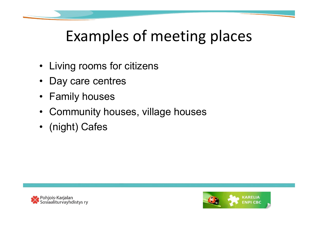## Examples of meeting places

- Living rooms for citizens
- Day care centres
- Family houses
- Community houses, village houses
- (night) Cafes



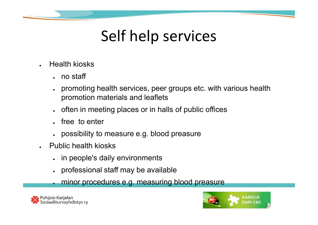## Self help services

- **Health kiosks** 
	- $.$  no staff
	- promoting health services, peer groups etc. with various health promotion materials and leaflets
	- often in meeting places or in halls of public offices
	- free to enter
	- possibility to measure e.g. blood preasure
- **Public health kiosks** 
	- in people's daily environments
	- professional staff may be available

minor procedures e.g. measuring blood preasure



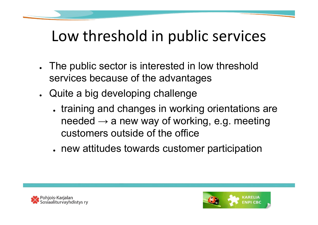## Low threshold in public services

- . The public sector is interested in low threshold services because of the advantages
- Quite a big developing challenge
	- training and changes in working orientations are needed  $\rightarrow$  a new way of working, e.g. meeting customers outside of the office
	- new attitudes towards customer participation



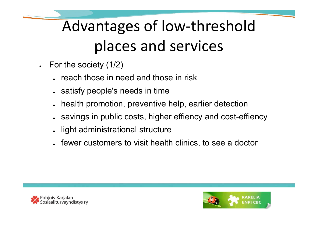# Advantages of low-threshold places and services

- $\cdot$  For the society (1/2)
	- reach those in need and those in risk
	- satisfy people's needs in time
	- health promotion, preventive help, earlier detection
	- savings in public costs, higher effiency and cost-effiency ●
	- light administrational structure
	- fewer customers to visit health clinics, to see a doctor



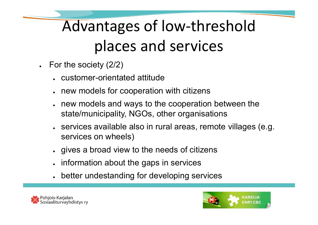# Advantages of low-threshold places and services

- For the society  $(2/2)$ 
	- customer-orientated attitude
	- new models for cooperation with citizens
	- new models and ways to the cooperation between the state/municipality, NGOs, other organisations
	- services available also in rural areas, remote villages (e.g. services on wheels)
	- gives a broad view to the needs of citizens
	- information about the gaps in services
	- better undestanding for developing services